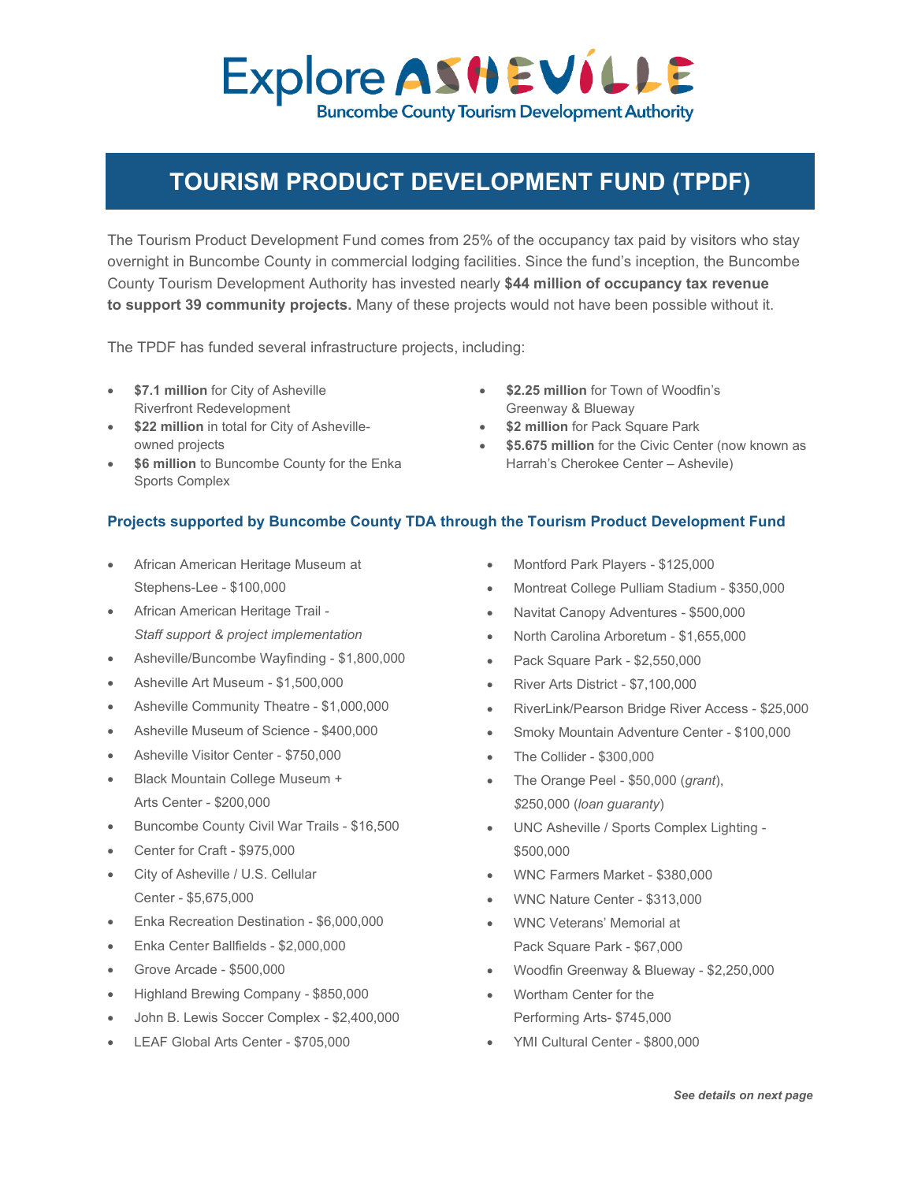## Explore ASHEVILLE **Buncombe County Tourism Development Authority**

## **TOURISM PRODUCT DEVELOPMENT FUND (TPDF)**

The Tourism Product Development Fund comes from 25% of the occupancy tax paid by visitors who stay overnight in Buncombe County in commercial lodging facilities. Since the fund's inception, the Buncombe County Tourism Development Authority has invested nearly **\$44 million of occupancy tax revenue to support 39 community projects.** Many of these projects would not have been possible without it.

The TPDF has funded several infrastructure projects, including:

- **\$7.1 million** for City of Asheville Riverfront Redevelopment
- **\$22 million** in total for City of Ashevilleowned projects
- **\$6 million** to Buncombe County for the Enka Sports Complex
- **\$2.25 million** for Town of Woodfin's Greenway & Blueway
- **\$2 million** for Pack Square Park
- **\$5.675 million** for the Civic Center (now known as Harrah's Cherokee Center – Ashevile)

## **Projects supported by Buncombe County TDA through the Tourism Product Development Fund**

- African American Heritage Museum at Stephens-Lee - \$100,000
- African American Heritage Trail *Staff support & project implementation*
- Asheville/Buncombe Wayfinding \$1,800,000
- Asheville Art Museum \$1,500,000
- Asheville Community Theatre \$1,000,000
- Asheville Museum of Science \$400,000
- Asheville Visitor Center \$750,000
- Black Mountain College Museum + Arts Center - \$200,000
- Buncombe County Civil War Trails \$16,500
- Center for Craft \$975,000
- City of Asheville / U.S. Cellular Center - \$5,675,000
- Enka Recreation Destination \$6,000,000
- Enka Center Ballfields \$2,000,000
- Grove Arcade \$500,000
- Highland Brewing Company \$850,000
- John B. Lewis Soccer Complex \$2,400,000
- LEAF Global Arts Center \$705,000
- Montford Park Players \$125,000
- Montreat College Pulliam Stadium \$350,000
- Navitat Canopy Adventures \$500,000
- North Carolina Arboretum \$1,655,000
- Pack Square Park \$2,550,000
- River Arts District \$7,100,000
- RiverLink/Pearson Bridge River Access \$25,000
- Smoky Mountain Adventure Center \$100,000
- The Collider \$300,000
- The Orange Peel \$50,000 (*grant*), *\$*250,000 (*loan guaranty*)
- UNC Asheville / Sports Complex Lighting \$500,000
- WNC Farmers Market \$380,000
- WNC Nature Center \$313,000
- WNC Veterans' Memorial at Pack Square Park - \$67,000
- Woodfin Greenway & Blueway \$2,250,000
- Wortham Center for the Performing Arts- \$745,000
- YMI Cultural Center \$800,000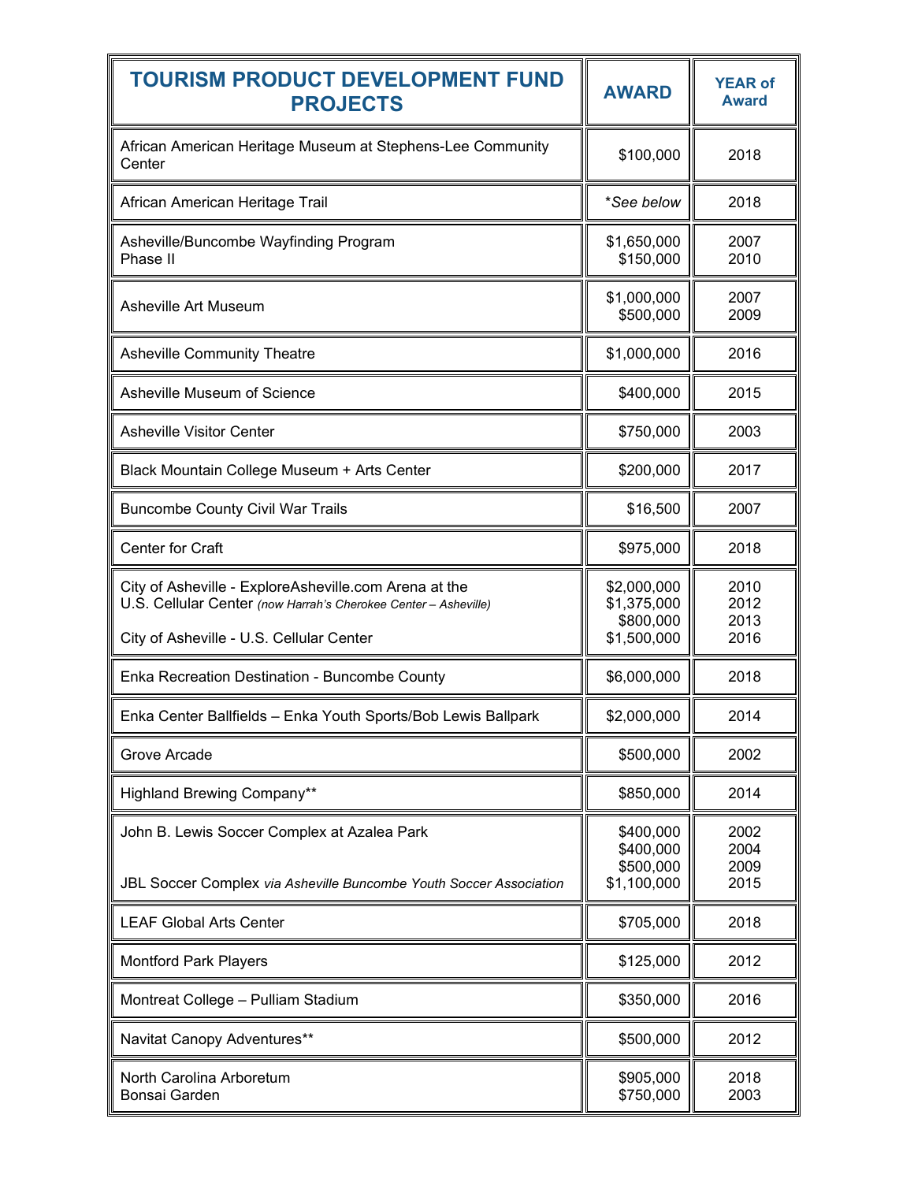| <b>TOURISM PRODUCT DEVELOPMENT FUND</b><br><b>PROJECTS</b>                                                                                                           | <b>AWARD</b>                                           | <b>YEAR of</b><br><b>Award</b> |
|----------------------------------------------------------------------------------------------------------------------------------------------------------------------|--------------------------------------------------------|--------------------------------|
| African American Heritage Museum at Stephens-Lee Community<br>Center                                                                                                 | \$100,000                                              | 2018                           |
| African American Heritage Trail                                                                                                                                      | *See below                                             | 2018                           |
| Asheville/Buncombe Wayfinding Program<br>Phase II                                                                                                                    | \$1,650,000<br>\$150,000                               | 2007<br>2010                   |
| Asheville Art Museum                                                                                                                                                 | \$1,000,000<br>\$500,000                               | 2007<br>2009                   |
| <b>Asheville Community Theatre</b>                                                                                                                                   | \$1,000,000                                            | 2016                           |
| Asheville Museum of Science                                                                                                                                          | \$400,000                                              | 2015                           |
| <b>Asheville Visitor Center</b>                                                                                                                                      | \$750,000                                              | 2003                           |
| Black Mountain College Museum + Arts Center                                                                                                                          | \$200,000                                              | 2017                           |
| <b>Buncombe County Civil War Trails</b>                                                                                                                              | \$16,500                                               | 2007                           |
| Center for Craft                                                                                                                                                     | \$975,000                                              | 2018                           |
| City of Asheville - ExploreAsheville.com Arena at the<br>U.S. Cellular Center (now Harrah's Cherokee Center - Asheville)<br>City of Asheville - U.S. Cellular Center | \$2,000,000<br>\$1,375,000<br>\$800,000<br>\$1,500,000 | 2010<br>2012<br>2013<br>2016   |
| Enka Recreation Destination - Buncombe County                                                                                                                        | \$6,000,000                                            | 2018                           |
| Enka Center Ballfields - Enka Youth Sports/Bob Lewis Ballpark                                                                                                        | \$2,000,000                                            | 2014                           |
| Grove Arcade                                                                                                                                                         | \$500,000                                              | 2002                           |
| <b>Highland Brewing Company**</b>                                                                                                                                    | \$850,000                                              | 2014                           |
| John B. Lewis Soccer Complex at Azalea Park<br>JBL Soccer Complex via Asheville Buncombe Youth Soccer Association                                                    | \$400,000<br>\$400,000<br>\$500,000<br>\$1,100,000     | 2002<br>2004<br>2009<br>2015   |
| <b>LEAF Global Arts Center</b>                                                                                                                                       | \$705,000                                              | 2018                           |
| <b>Montford Park Players</b>                                                                                                                                         | \$125,000                                              | 2012                           |
| Montreat College - Pulliam Stadium                                                                                                                                   | \$350,000                                              | 2016                           |
| Navitat Canopy Adventures**                                                                                                                                          | \$500,000                                              | 2012                           |
| North Carolina Arboretum<br>Bonsai Garden                                                                                                                            | \$905,000<br>\$750,000                                 | 2018<br>2003                   |